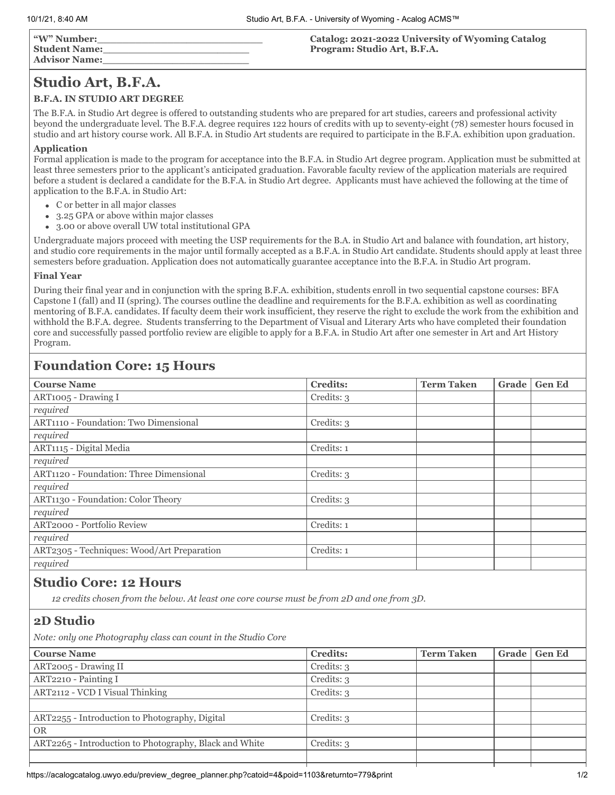# **Studio Art, B.F.A.**

### **B.F.A. IN STUDIO ART DEGREE**

The B.F.A. in Studio Art degree is offered to outstanding students who are prepared for art studies, careers and professional activity beyond the undergraduate level. The B.F.A. degree requires 122 hours of credits with up to seventy-eight (78) semester hours focused in studio and art history course work. All B.F.A. in Studio Art students are required to participate in the B.F.A. exhibition upon graduation.

#### **Application**

Formal application is made to the program for acceptance into the B.F.A. in Studio Art degree program. Application must be submitted at least three semesters prior to the applicant's anticipated graduation. Favorable faculty review of the application materials are required before a student is declared a candidate for the B.F.A. in Studio Art degree. Applicants must have achieved the following at the time of application to the B.F.A. in Studio Art:

- C or better in all major classes
- 3.25 GPA or above within major classes  $\bullet$
- 3.00 or above overall UW total institutional GPA  $\bullet$

Undergraduate majors proceed with meeting the USP requirements for the B.A. in Studio Art and balance with foundation, art history, and studio core requirements in the major until formally accepted as a B.F.A. in Studio Art candidate. Students should apply at least three semesters before graduation. Application does not automatically guarantee acceptance into the B.F.A. in Studio Art program.

#### **Final Year**

During their final year and in conjunction with the spring B.F.A. exhibition, students enroll in two sequential capstone courses: BFA Capstone I (fall) and II (spring). The courses outline the deadline and requirements for the B.F.A. exhibition as well as coordinating mentoring of B.F.A. candidates. If faculty deem their work insufficient, they reserve the right to exclude the work from the exhibition and withhold the B.F.A. degree. Students transferring to the Department of Visual and Literary Arts who have completed their foundation core and successfully passed portfolio review are eligible to apply for a B.F.A. in Studio Art after one semester in Art and Art History Program.

## **Foundation Core: 15 Hours**

| <b>Course Name</b>                         | <b>Credits:</b> | <b>Term Taken</b> | Grade | <b>Gen Ed</b> |
|--------------------------------------------|-----------------|-------------------|-------|---------------|
| ART1005 - Drawing I                        | Credits: 3      |                   |       |               |
| required                                   |                 |                   |       |               |
| ART1110 - Foundation: Two Dimensional      | Credits: 3      |                   |       |               |
| required                                   |                 |                   |       |               |
| ART1115 - Digital Media                    | Credits: 1      |                   |       |               |
| required                                   |                 |                   |       |               |
| ART1120 - Foundation: Three Dimensional    | Credits: 3      |                   |       |               |
| required                                   |                 |                   |       |               |
| ART1130 - Foundation: Color Theory         | Credits: 3      |                   |       |               |
| required                                   |                 |                   |       |               |
| ART2000 - Portfolio Review                 | Credits: 1      |                   |       |               |
| required                                   |                 |                   |       |               |
| ART2305 - Techniques: Wood/Art Preparation | Credits: 1      |                   |       |               |
| required                                   |                 |                   |       |               |

### **Studio Core: 12 Hours**

*12 credits chosen from the below. At least one core course must be from 2D and one from 3D.*

### **2D Studio**

*Note: only one Photography class can count in the Studio Core*

| <b>Course Name</b>                                     | <b>Credits:</b> | <b>Term Taken</b> | Grade | Gen Ed |
|--------------------------------------------------------|-----------------|-------------------|-------|--------|
| ART2005 - Drawing II                                   | Credits: 3      |                   |       |        |
| ART2210 - Painting I                                   | Credits: 3      |                   |       |        |
| ART2112 - VCD I Visual Thinking                        | Credits: 3      |                   |       |        |
|                                                        |                 |                   |       |        |
| ART2255 - Introduction to Photography, Digital         | Credits: 3      |                   |       |        |
| <b>OR</b>                                              |                 |                   |       |        |
| ART2265 - Introduction to Photography, Black and White | Credits: 3      |                   |       |        |
|                                                        |                 |                   |       |        |